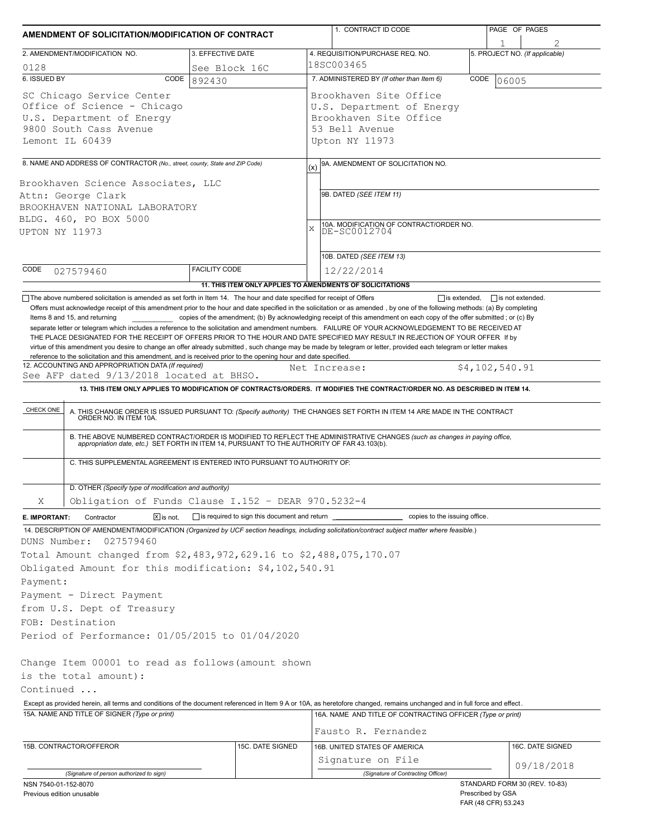| AMENDMENT OF SOLICITATION/MODIFICATION OF CONTRACT                                                                                                                                                                                                                                                                                                                                                                                                      |                              |                                                | 1. CONTRACT ID CODE                                                                                                                                                                                                                                                                                                                                                                                                                                                                                         |                                          | PAGE OF PAGES                  |  |
|---------------------------------------------------------------------------------------------------------------------------------------------------------------------------------------------------------------------------------------------------------------------------------------------------------------------------------------------------------------------------------------------------------------------------------------------------------|------------------------------|------------------------------------------------|-------------------------------------------------------------------------------------------------------------------------------------------------------------------------------------------------------------------------------------------------------------------------------------------------------------------------------------------------------------------------------------------------------------------------------------------------------------------------------------------------------------|------------------------------------------|--------------------------------|--|
| 2. AMENDMENT/MODIFICATION NO.                                                                                                                                                                                                                                                                                                                                                                                                                           | 3. EFFECTIVE DATE            |                                                | 4. REQUISITION/PURCHASE REQ. NO.                                                                                                                                                                                                                                                                                                                                                                                                                                                                            |                                          | 5. PROJECT NO. (If applicable) |  |
| 0128                                                                                                                                                                                                                                                                                                                                                                                                                                                    | See Block 16C                |                                                | 18SC003465                                                                                                                                                                                                                                                                                                                                                                                                                                                                                                  |                                          |                                |  |
| 6. ISSUED BY                                                                                                                                                                                                                                                                                                                                                                                                                                            | CODE<br>892430               |                                                | 7. ADMINISTERED BY (If other than Item 6)<br>CODE<br>06005                                                                                                                                                                                                                                                                                                                                                                                                                                                  |                                          |                                |  |
| SC Chicago Service Center<br>Office of Science - Chicago<br>U.S. Department of Energy<br>9800 South Cass Avenue<br>Lemont IL 60439                                                                                                                                                                                                                                                                                                                      |                              |                                                | Brookhaven Site Office<br>U.S. Department of Energy<br>Brookhaven Site Office<br>53 Bell Avenue<br>Upton NY 11973                                                                                                                                                                                                                                                                                                                                                                                           |                                          |                                |  |
|                                                                                                                                                                                                                                                                                                                                                                                                                                                         |                              |                                                |                                                                                                                                                                                                                                                                                                                                                                                                                                                                                                             |                                          |                                |  |
| 8. NAME AND ADDRESS OF CONTRACTOR (No., street, county, State and ZIP Code)<br>Brookhaven Science Associates, LLC<br>Attn: George Clark<br>BROOKHAVEN NATIONAL LABORATORY                                                                                                                                                                                                                                                                               |                              | (x)                                            | 9A. AMENDMENT OF SOLICITATION NO.<br>9B. DATED (SEE ITEM 11)                                                                                                                                                                                                                                                                                                                                                                                                                                                |                                          |                                |  |
| BLDG. 460, PO BOX 5000<br>UPTON NY 11973                                                                                                                                                                                                                                                                                                                                                                                                                |                              | X                                              | 10A. MODIFICATION OF CONTRACT/ORDER NO.<br>DE-SC0012704                                                                                                                                                                                                                                                                                                                                                                                                                                                     |                                          |                                |  |
|                                                                                                                                                                                                                                                                                                                                                                                                                                                         |                              |                                                | 10B. DATED (SEE ITEM 13)                                                                                                                                                                                                                                                                                                                                                                                                                                                                                    |                                          |                                |  |
| CODE<br>027579460                                                                                                                                                                                                                                                                                                                                                                                                                                       | <b>FACILITY CODE</b>         |                                                | 12/22/2014<br>11. THIS ITEM ONLY APPLIES TO AMENDMENTS OF SOLICITATIONS                                                                                                                                                                                                                                                                                                                                                                                                                                     |                                          |                                |  |
| CHECK ONE                                                                                                                                                                                                                                                                                                                                                                                                                                               |                              |                                                | 13. THIS ITEM ONLY APPLIES TO MODIFICATION OF CONTRACTS/ORDERS. IT MODIFIES THE CONTRACT/ORDER NO. AS DESCRIBED IN ITEM 14.<br>A. THIS CHANGE ORDER IS ISSUED PURSUANT TO: (Specify authority) THE CHANGES SET FORTH IN ITEM 14 ARE MADE IN THE CONTRACT ORDER NO. IN ITEM 10A.<br>B. THE ABOVE NUMBERED CONTRACT/ORDER IS MODIFIED TO REFLECT THE ADMINISTRATIVE CHANGES (such as changes in paying office,<br>appropriation date, etc.) SET FORTH IN ITEM 14, PURSUANT TO THE AUTHORITY OF FAR 43.103(b). |                                          |                                |  |
| C. THIS SUPPLEMENTAL AGREEMENT IS ENTERED INTO PURSUANT TO AUTHORITY OF:<br>D. OTHER (Specify type of modification and authority)                                                                                                                                                                                                                                                                                                                       |                              |                                                |                                                                                                                                                                                                                                                                                                                                                                                                                                                                                                             |                                          |                                |  |
| Obligation of Funds Clause I.152 - DEAR 970.5232-4<br>X                                                                                                                                                                                                                                                                                                                                                                                                 |                              |                                                |                                                                                                                                                                                                                                                                                                                                                                                                                                                                                                             |                                          |                                |  |
| E. IMPORTANT:<br>Contractor                                                                                                                                                                                                                                                                                                                                                                                                                             | $\boxed{\mathsf{x}}$ is not. | is required to sign this document and return _ | copies to the issuing office.                                                                                                                                                                                                                                                                                                                                                                                                                                                                               |                                          |                                |  |
| 14. DESCRIPTION OF AMENDMENT/MODIFICATION (Organized by UCF section headings, including solicitation/contract subject matter where feasible.)<br>DUNS Number:<br>027579460<br>Total Amount changed from \$2,483,972,629.16 to \$2,488,075,170.07<br>Obligated Amount for this modification: \$4,102,540.91<br>Payment:<br>Payment - Direct Payment<br>from U.S. Dept of Treasury<br>FOB: Destination<br>Period of Performance: 01/05/2015 to 01/04/2020 |                              |                                                |                                                                                                                                                                                                                                                                                                                                                                                                                                                                                                             |                                          |                                |  |
| Change Item 00001 to read as follows (amount shown<br>is the total amount):<br>Continued<br>Except as provided herein, all terms and conditions of the document referenced in Item 9 A or 10A, as heretofore changed, remains unchanged and in full force and effect.<br>15A. NAME AND TITLE OF SIGNER (Type or print)                                                                                                                                  |                              |                                                | 16A. NAME AND TITLE OF CONTRACTING OFFICER (Type or print)<br>Fausto R. Fernandez                                                                                                                                                                                                                                                                                                                                                                                                                           |                                          |                                |  |
| 15B. CONTRACTOR/OFFEROR                                                                                                                                                                                                                                                                                                                                                                                                                                 |                              | 15C. DATE SIGNED                               | 16B. UNITED STATES OF AMERICA                                                                                                                                                                                                                                                                                                                                                                                                                                                                               |                                          | 16C. DATE SIGNED               |  |
| (Signature of person authorized to sign)                                                                                                                                                                                                                                                                                                                                                                                                                |                              |                                                | Signature on File<br>(Signature of Contracting Officer)                                                                                                                                                                                                                                                                                                                                                                                                                                                     |                                          | 09/18/2018                     |  |
| NSN 7540-01-152-8070<br>Previous edition unusable                                                                                                                                                                                                                                                                                                                                                                                                       |                              |                                                |                                                                                                                                                                                                                                                                                                                                                                                                                                                                                                             | Prescribed by GSA<br>FAR (48 CFR) 53.243 | STANDARD FORM 30 (REV. 10-83)  |  |